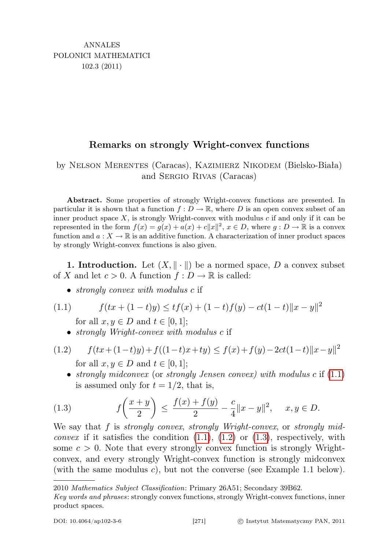## Remarks on strongly Wright-convex functions

by Nelson Merentes (Caracas), Kazimierz Nikodem (Bielsko-Biała) and Sergio Rivas (Caracas)

Abstract. Some properties of strongly Wright-convex functions are presented. In particular it is shown that a function  $f: D \to \mathbb{R}$ , where D is an open convex subset of an inner product space  $X$ , is strongly Wright-convex with modulus  $c$  if and only if it can be represented in the form  $f(x) = g(x) + a(x) + c||x||^2$ ,  $x \in D$ , where  $g: D \to \mathbb{R}$  is a convex function and  $a: X \to \mathbb{R}$  is an additive function. A characterization of inner product spaces by strongly Wright-convex functions is also given.

**1. Introduction.** Let  $(X, \|\cdot\|)$  be a normed space, D a convex subset of X and let  $c > 0$ . A function  $f: D \to \mathbb{R}$  is called:

- <span id="page-0-0"></span>• *strongly convex with modulus c* if
- (1.1)  $f(tx+(1-t)y) \le tf(x) + (1-t)f(y) ct(1-t)||x-y||^2$ for all  $x, y \in D$  and  $t \in [0, 1]$ ;
	- *strongly Wright-convex with modulus c* if

<span id="page-0-1"></span>(1.2) 
$$
f(tx+(1-t)y)+f((1-t)x+ty) \le f(x)+f(y)-2ct(1-t)||x-y||^2
$$
  
for all  $x, y \in D$  and  $t \in [0, 1]$ ;

<span id="page-0-2"></span>• strongly midconvex (or strongly Jensen convex) with modulus  $c$  if  $(1.1)$  $(1.1)$ is assumed only for  $t = 1/2$ , that is,

(1.3) 
$$
f\left(\frac{x+y}{2}\right) \le \frac{f(x) + f(y)}{2} - \frac{c}{4}||x - y||^2, \quad x, y \in D.
$$

We say that f is *strongly convex, strongly Wright-convex*, or *strongly midconvex* if it satisfies the condition  $(1.1)$ ,  $(1.2)$  or  $(1.3)$ , respectively, with some  $c > 0$ . Note that every strongly convex function is strongly Wrightconvex, and every strongly Wright-convex function is strongly midconvex (with the same modulus  $c$ ), but not the converse (see Example 1.1 below).

<sup>2010</sup> Mathematics Subject Classification: Primary 26A51; Secondary 39B62.

Key words and phrases: strongly convex functions, strongly Wright-convex functions, inner product spaces.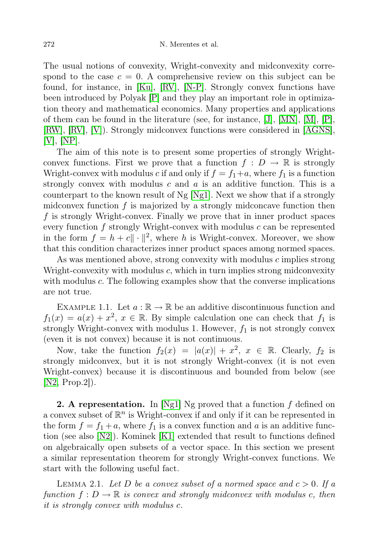The usual notions of convexity, Wright-convexity and midconvexity correspond to the case  $c = 0$ . A comprehensive review on this subject can be found, for instance, in [\[Ku\]](#page-6-0), [\[RV\]](#page-6-1), [\[N-P\]](#page-6-2). Strongly convex functions have been introduced by Polyak [\[P\]](#page-6-3) and they play an important role in optimization theory and mathematical economics. Many properties and applications of them can be found in the literature (see, for instance,  $[J], [MN], [M], [P]$  $[J], [MN], [M], [P]$  $[J], [MN], [M], [P]$  $[J], [MN], [M], [P]$  $[J], [MN], [M], [P]$  $[J], [MN], [M], [P]$  $[J], [MN], [M], [P]$ , [\[RW\]](#page-6-7), [\[RV\]](#page-6-1), [\[V\]](#page-7-0)). Strongly midconvex functions were considered in [\[AGNS\]](#page-6-8), [\[V\]](#page-7-0), [\[NP\]](#page-6-9).

The aim of this note is to present some properties of strongly Wrightconvex functions. First we prove that a function  $f: D \to \mathbb{R}$  is strongly Wright-convex with modulus c if and only if  $f = f_1 + a$ , where  $f_1$  is a function strongly convex with modulus  $c$  and  $a$  is an additive function. This is a counterpart to the known result of Ng [\[Ng1\]](#page-6-10). Next we show that if a strongly midconvex function  $f$  is majorized by a strongly midconcave function then f is strongly Wright-convex. Finally we prove that in inner product spaces every function  $f$  strongly Wright-convex with modulus  $c$  can be represented in the form  $f = h + c || \cdot ||^2$ , where h is Wright-convex. Moreover, we show that this condition characterizes inner product spaces among normed spaces.

As was mentioned above, strong convexity with modulus c implies strong Wright-convexity with modulus c, which in turn implies strong midconvexity with modulus c. The following examples show that the converse implications are not true.

EXAMPLE 1.1. Let  $a : \mathbb{R} \to \mathbb{R}$  be an additive discontinuous function and  $f_1(x) = a(x) + x^2, x \in \mathbb{R}$ . By simple calculation one can check that  $f_1$  is strongly Wright-convex with modulus 1. However,  $f_1$  is not strongly convex (even it is not convex) because it is not continuous.

Now, take the function  $f_2(x) = |a(x)| + x^2$ ,  $x \in \mathbb{R}$ . Clearly,  $f_2$  is strongly midconvex, but it is not strongly Wright-convex (it is not even Wright-convex) because it is discontinuous and bounded from below (see [\[N2,](#page-6-11) Prop.2]).

**2. A representation.** In [\[Ng1\]](#page-6-10) Ng proved that a function  $f$  defined on a convex subset of  $\mathbb{R}^n$  is Wright-convex if and only if it can be represented in the form  $f = f_1 + a$ , where  $f_1$  is a convex function and a is an additive function (see also [\[N2\]](#page-6-11)). Kominek [\[K1\]](#page-6-12) extended that result to functions defined on algebraically open subsets of a vector space. In this section we present a similar representation theorem for strongly Wright-convex functions. We start with the following useful fact.

LEMMA 2.1. Let D be a convex subset of a normed space and  $c > 0$ . If a function  $f: D \to \mathbb{R}$  is convex and strongly midconvex with modulus c, then it is strongly convex with modulus c.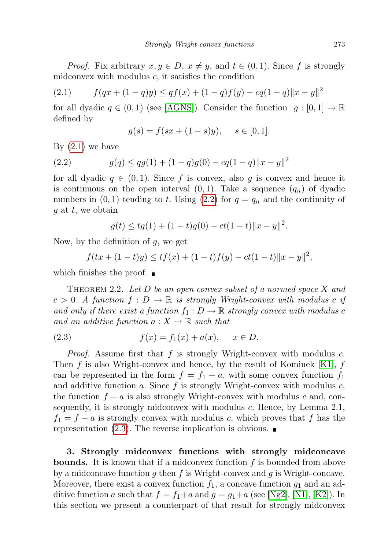*Proof.* Fix arbitrary  $x, y \in D$ ,  $x \neq y$ , and  $t \in (0, 1)$ . Since f is strongly midconvex with modulus  $c$ , it satisfies the condition

<span id="page-2-0"></span>(2.1) 
$$
f(qx + (1-q)y) \leq qf(x) + (1-q)f(y) - cq(1-q)||x - y||^2
$$

for all dyadic  $q \in (0,1)$  (see [\[AGNS\]](#page-6-8)). Consider the function  $q: [0,1] \to \mathbb{R}$ defined by

<span id="page-2-1"></span>
$$
g(s) = f(sx + (1 - s)y), \quad s \in [0, 1].
$$

By  $(2.1)$  we have

(2.2) 
$$
g(q) \leq qg(1) + (1-q)g(0) - cq(1-q)||x-y||^2
$$

for all dyadic  $q \in (0, 1)$ . Since f is convex, also q is convex and hence it is continuous on the open interval  $(0, 1)$ . Take a sequence  $(q_n)$  of dyadic numbers in  $(0, 1)$  tending to t. Using  $(2.2)$  for  $q = q_n$  and the continuity of  $g$  at  $t$ , we obtain

$$
g(t) \leq tg(1) + (1-t)g(0) - ct(1-t) \|x - y\|^2.
$$

Now, by the definition of  $g$ , we get

$$
f(tx + (1-t)y) \le tf(x) + (1-t)f(y) - ct(1-t) \|x - y\|^2,
$$

which finishes the proof.  $\blacksquare$ 

THEOREM 2.2. Let  $D$  be an open convex subset of a normed space  $X$  and  $c > 0$ . A function  $f : D \to \mathbb{R}$  is strongly Wright-convex with modulus c if and only if there exist a function  $f_1 : D \to \mathbb{R}$  strongly convex with modulus c and an additive function  $a: X \to \mathbb{R}$  such that

<span id="page-2-2"></span>(2.3) 
$$
f(x) = f_1(x) + a(x), \quad x \in D.
$$

*Proof.* Assume first that  $f$  is strongly Wright-convex with modulus  $c$ . Then  $f$  is also Wright-convex and hence, by the result of Kominek [\[K1\]](#page-6-12),  $f$ can be represented in the form  $f = f_1 + a$ , with some convex function  $f_1$ and additive function a. Since  $f$  is strongly Wright-convex with modulus  $c$ , the function  $f - a$  is also strongly Wright-convex with modulus c and, consequently, it is strongly midconvex with modulus c. Hence, by Lemma 2.1,  $f_1 = f - a$  is strongly convex with modulus c, which proves that f has the representation  $(2.3)$ . The reverse implication is obvious.

3. Strongly midconvex functions with strongly midconcave **bounds.** It is known that if a midconvex function  $f$  is bounded from above by a midconcave function  $g$  then  $f$  is Wright-convex and  $g$  is Wright-concave. Moreover, there exist a convex function  $f_1$ , a concave function  $g_1$  and an additive function a such that  $f = f_1 + a$  and  $g = g_1 + a$  (see [\[Ng2\]](#page-6-13), [\[N1\]](#page-6-14), [\[K2\]](#page-6-15)). In this section we present a counterpart of that result for strongly midconvex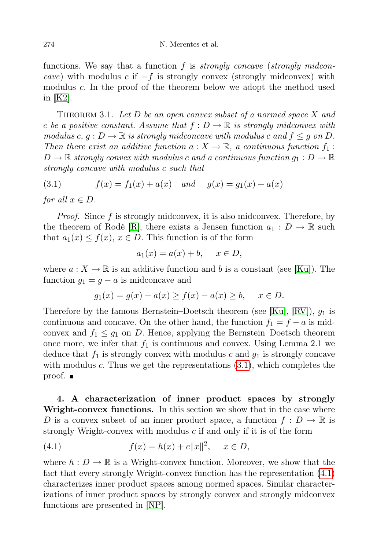functions. We say that a function  $f$  is *strongly concave (strongly midcon*cave) with modulus c if  $-f$  is strongly convex (strongly midconvex) with modulus c. In the proof of the theorem below we adopt the method used in [\[K2\]](#page-6-15).

THEOREM 3.1. Let  $D$  be an open convex subset of a normed space  $X$  and c be a positive constant. Assume that  $f: D \to \mathbb{R}$  is strongly midconvex with modulus c,  $g: D \to \mathbb{R}$  is strongly midconcave with modulus c and  $f \leq g$  on D. Then there exist an additive function  $a: X \to \mathbb{R}$ , a continuous function  $f_1$ :  $D \to \mathbb{R}$  strongly convex with modulus c and a continuous function  $g_1 : D \to \mathbb{R}$ strongly concave with modulus c such that

<span id="page-3-0"></span>(3.1)  $f(x) = f_1(x) + a(x)$  and  $g(x) = g_1(x) + a(x)$ 

for all  $x \in D$ .

Proof. Since f is strongly midconvex, it is also midconvex. Therefore, by the theorem of Rodé [\[R\]](#page-6-16), there exists a Jensen function  $a_1 : D \to \mathbb{R}$  such that  $a_1(x) \leq f(x)$ ,  $x \in D$ . This function is of the form

$$
a_1(x) = a(x) + b, \quad x \in D,
$$

where  $a: X \to \mathbb{R}$  is an additive function and b is a constant (see [\[Ku\]](#page-6-0)). The function  $g_1 = g - a$  is midconcave and

$$
g_1(x) = g(x) - a(x) \ge f(x) - a(x) \ge b, \quad x \in D.
$$

Therefore by the famous Bernstein–Doetsch theorem (see [\[Ku\]](#page-6-0), [\[RV\]](#page-6-1)),  $g_1$  is continuous and concave. On the other hand, the function  $f_1 = f - a$  is midconvex and  $f_1 \leq g_1$  on D. Hence, applying the Bernstein–Doetsch theorem once more, we infer that  $f_1$  is continuous and convex. Using Lemma 2.1 we deduce that  $f_1$  is strongly convex with modulus c and  $g_1$  is strongly concave with modulus c. Thus we get the representations  $(3.1)$ , which completes the proof.  $\blacksquare$ 

4. A characterization of inner product spaces by strongly Wright-convex functions. In this section we show that in the case where D is a convex subset of an inner product space, a function  $f: D \to \mathbb{R}$  is strongly Wright-convex with modulus  $c$  if and only if it is of the form

<span id="page-3-1"></span>(4.1) 
$$
f(x) = h(x) + c||x||^2, \quad x \in D,
$$

where  $h: D \to \mathbb{R}$  is a Wright-convex function. Moreover, we show that the fact that every strongly Wright-convex function has the representation [\(4.1\)](#page-3-1) characterizes inner product spaces among normed spaces. Similar characterizations of inner product spaces by strongly convex and strongly midconvex functions are presented in [\[NP\]](#page-6-9).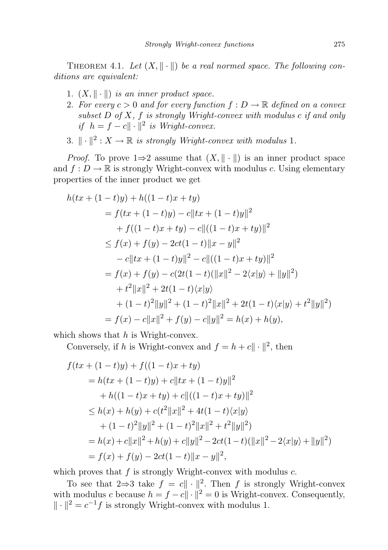THEOREM 4.1. Let  $(X, \|\cdot\|)$  be a real normed space. The following conditions are equivalent:

- 1.  $(X, \|\cdot\|)$  is an inner product space.
- 2. For every  $c > 0$  and for every function  $f : D \to \mathbb{R}$  defined on a convex subset  $D$  of  $X$ ,  $f$  is strongly Wright-convex with modulus  $c$  if and only if  $h = f - c || \cdot ||^2$  is Wright-convex.
- 3.  $\|\cdot\|^2: X \to \mathbb{R}$  is strongly Wright-convex with modulus 1.

*Proof.* To prove  $1\Rightarrow 2$  assume that  $(X, \|\cdot\|)$  is an inner product space and  $f: D \to \mathbb{R}$  is strongly Wright-convex with modulus c. Using elementary properties of the inner product we get

$$
h(tx + (1-t)y) + h((1-t)x + ty)
$$
  
=  $f(tx + (1-t)y) - c||tx + (1-t)y||^2$   
+  $f((1-t)x + ty) - c||((1-t)x + ty)||^2$   
 $\leq f(x) + f(y) - 2ct(1-t)||x - y||^2$   
-  $c||tx + (1-t)y||^2 - c||((1-t)x + ty)||^2$   
=  $f(x) + f(y) - c(2t(1-t)(||x||^2 - 2\langle x|y \rangle + ||y||^2)$   
+  $t^2||x||^2 + 2t(1-t)\langle x|y \rangle$   
+  $(1-t)^2||y||^2 + (1-t)^2||x||^2 + 2t(1-t)\langle x|y \rangle + t^2||y||^2)$   
=  $f(x) - c||x||^2 + f(y) - c||y||^2 = h(x) + h(y),$ 

which shows that  $h$  is Wright-convex.

Conversely, if h is Wright-convex and  $f = h + c || \cdot ||^2$ , then

$$
f(tx + (1-t)y) + f((1-t)x + ty)
$$
  
=  $h(tx + (1-t)y) + c||tx + (1-t)y||^2$   
+  $h((1-t)x + ty) + c||((1-t)x + ty)||^2$   

$$
\leq h(x) + h(y) + c(t^2||x||^2 + 4t(1-t)\langle x|y\rangle
$$
  
+  $(1-t)^2||y||^2 + (1-t)^2||x||^2 + t^2||y||^2)$   
=  $h(x) + c||x||^2 + h(y) + c||y||^2 - 2ct(1-t)(||x||^2 - 2\langle x|y\rangle + ||y||^2)$   
=  $f(x) + f(y) - 2ct(1-t)||x - y||^2$ ,

which proves that  $f$  is strongly Wright-convex with modulus  $c$ .

To see that  $2\Rightarrow 3$  take  $f = c||\cdot||^2$ . Then f is strongly Wright-convex with modulus c because  $h = f - c|| \cdot ||^2 = 0$  is Wright-convex. Consequently,  $\|\cdot\|^2 = c^{-1}f$  is strongly Wright-convex with modulus 1.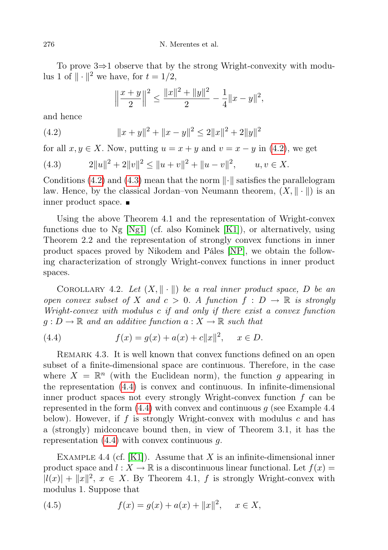To prove 3⇒1 observe that by the strong Wright-convexity with modulus 1 of  $\|\cdot\|^2$  we have, for  $t = 1/2$ ,

<span id="page-5-0"></span>
$$
\left\|\frac{x+y}{2}\right\|^2 \le \frac{\|x\|^2 + \|y\|^2}{2} - \frac{1}{4} \|x-y\|^2,
$$

and hence

(4.2) 
$$
||x + y||^{2} + ||x - y||^{2} \le 2||x||^{2} + 2||y||^{2}
$$

for all  $x, y \in X$ . Now, putting  $u = x + y$  and  $v = x - y$  in [\(4.2\)](#page-5-0), we get

<span id="page-5-1"></span>(4.3) 
$$
2||u||^2 + 2||v||^2 \le ||u + v||^2 + ||u - v||^2, \qquad u, v \in X.
$$

Conditions [\(4.2\)](#page-5-0) and [\(4.3\)](#page-5-1) mean that the norm  $\|\cdot\|$  satisfies the parallelogram law. Hence, by the classical Jordan–von Neumann theorem,  $(X, \|\cdot\|)$  is an inner product space.

Using the above Theorem 4.1 and the representation of Wright-convex functions due to Ng [\[Ng1\]](#page-6-10) (cf. also Kominek [\[K1\]](#page-6-12)), or alternatively, using Theorem 2.2 and the representation of strongly convex functions in inner product spaces proved by Nikodem and Páles [\[NP\]](#page-6-9), we obtain the following characterization of strongly Wright-convex functions in inner product spaces.

COROLLARY 4.2. Let  $(X, \|\cdot\|)$  be a real inner product space, D be an open convex subset of X and  $c > 0$ . A function  $f : D \to \mathbb{R}$  is strongly Wright-convex with modulus c if and only if there exist a convex function  $g: D \to \mathbb{R}$  and an additive function  $a: X \to \mathbb{R}$  such that

<span id="page-5-2"></span>(4.4) 
$$
f(x) = g(x) + a(x) + c||x||^2, \quad x \in D.
$$

REMARK 4.3. It is well known that convex functions defined on an open subset of a finite-dimensional space are continuous. Therefore, in the case where  $X = \mathbb{R}^n$  (with the Euclidean norm), the function g appearing in the representation [\(4.4\)](#page-5-2) is convex and continuous. In infinite-dimensional inner product spaces not every strongly Wright-convex function  $f$  can be represented in the form  $(4.4)$  with convex and continuous g (see Example 4.4) below). However, if f is strongly Wright-convex with modulus  $c$  and has a (strongly) midconcave bound then, in view of Theorem 3.1, it has the representation  $(4.4)$  with convex continuous q.

EXAMPLE 4.4 (cf.  $[K1]$ ). Assume that X is an infinite-dimensional inner product space and  $l : X \to \mathbb{R}$  is a discontinuous linear functional. Let  $f(x) =$  $|l(x)| + ||x||^2$ ,  $x \in X$ . By Theorem 4.1, f is strongly Wright-convex with modulus 1. Suppose that

<span id="page-5-3"></span>(4.5) 
$$
f(x) = g(x) + a(x) + ||x||^2, \quad x \in X,
$$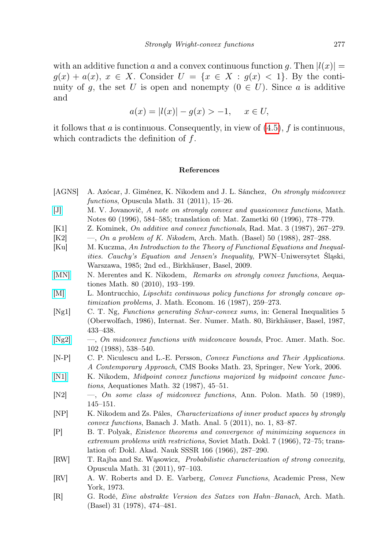with an additive function a and a convex continuous function q. Then  $|l(x)| =$  $g(x) + a(x), x \in X$ . Consider  $U = \{x \in X : g(x) < 1\}$ . By the continuity of q, the set U is open and nonempty  $(0 \in U)$ . Since a is additive and

$$
a(x) = |l(x)| - g(x) > -1, \quad x \in U,
$$

it follows that a is continuous. Consequently, in view of  $(4.5)$ , f is continuous, which contradicts the definition of f.

## References

- <span id="page-6-8"></span>[AGNS] A. Azócar, J. Giménez, K. Nikodem and J. L. Sánchez, On strongly midconvex functions, Opuscula Math. 31 (2011), 15–26.
- <span id="page-6-4"></span>[\[J\]](http://dx.doi.org/10.1007/BF02309176) M. V. Jovanovič, A note on strongly convex and quasiconvex functions, Math. Notes 60 (1996), 584–585; translation of: Mat. Zametki 60 (1996), 778–779.
- <span id="page-6-12"></span>[K1] Z. Kominek, On additive and convex functionals, Rad. Mat. 3 (1987), 267–279.
- <span id="page-6-15"></span> $[K2] \quad -$ , On a problem of K. Nikodem, Arch. Math. (Basel) 50 (1988), 287–288.
- <span id="page-6-0"></span>[Ku] M. Kuczma, An Introduction to the Theory of Functional Equations and Inequalities. Cauchy's Equation and Jensen's Inequality, PWN–Uniwersytet Śląski, Warszawa, 1985; 2nd ed., Birkhäuser, Basel, 2009.
- <span id="page-6-5"></span>[\[MN\]](http://dx.doi.org/10.1007/s00010-010-0043-0) N. Merentes and K. Nikodem, Remarks on strongly convex functions, Aequationes Math. 80 (2010), 193–199.
- <span id="page-6-6"></span>[\[M\]](http://dx.doi.org/10.1016/0304-4068(87)90012-7) L. Montrucchio, Lipschitz continuous policy functions for strongly concave optimization problems, J. Math. Econom. 16 (1987), 259–273.
- <span id="page-6-10"></span>[Ng1] C. T. Ng, Functions generating Schur-convex sums, in: General Inequalities 5 (Oberwolfach, 1986), Internat. Ser. Numer. Math. 80, Birkhäuser, Basel, 1987, 433–438.
- <span id="page-6-13"></span>[\[Ng2\]](http://dx.doi.org/10.1090/S0002-9939-1988-0928975-7) —, On midconvex functions with midconcave bounds, Proc. Amer. Math. Soc. 102 (1988), 538–540.
- <span id="page-6-2"></span>[N-P] C. P. Niculescu and L.-E. Persson, Convex Functions and Their Applications. A Contemporary Approach, CMS Books Math. 23, Springer, New York, 2006.
- <span id="page-6-14"></span>[\[N1\]](http://dx.doi.org/10.1007/BF02311298) K. Nikodem, *Midpoint convex functions majorized by midpoint concave func*tions, Aequationes Math. 32 (1987), 45–51.
- <span id="page-6-11"></span>[N2] —, On some class of midconvex functions, Ann. Polon. Math. 50 (1989), 145–151.
- <span id="page-6-9"></span>[NP] K. Nikodem and Zs. Páles, Characterizations of inner product spaces by strongly convex functions, Banach J. Math. Anal. 5 (2011), no. 1, 83–87.
- <span id="page-6-3"></span>[P] B. T. Polyak, Existence theorems and convergence of minimizing sequences in extremum problems with restrictions, Soviet Math. Dokl. 7 (1966), 72–75; translation of: Dokl. Akad. Nauk SSSR 166 (1966), 287–290.
- <span id="page-6-7"></span>[RW] T. Rajba and Sz. Wąsowicz, Probabilistic characterization of strong convexity, Opuscula Math. 31 (2011), 97–103.
- <span id="page-6-1"></span>[RV] A. W. Roberts and D. E. Varberg, Convex Functions, Academic Press, New York, 1973.
- <span id="page-6-16"></span>[R] G. Rodé, Eine abstrakte Version des Satzes von Hahn–Banach, Arch. Math. (Basel) 31 (1978), 474–481.